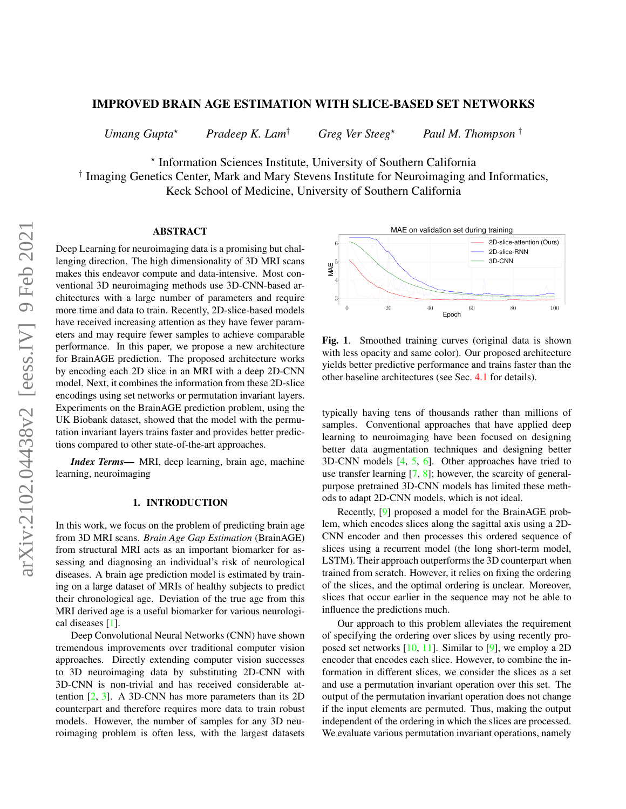# IMPROVED BRAIN AGE ESTIMATION WITH SLICE-BASED SET NETWORKS

*Umang Gupta*? *Pradeep K. Lam*† *Greg Ver Steeg*? *Paul M. Thompson* †

? Information Sciences Institute, University of Southern California

† Imaging Genetics Center, Mark and Mary Stevens Institute for Neuroimaging and Informatics, Keck School of Medicine, University of Southern California

# **ABSTRACT**

Deep Learning for neuroimaging data is a promising but challenging direction. The high dimensionality of 3D MRI scans makes this endeavor compute and data-intensive. Most conventional 3D neuroimaging methods use 3D-CNN-based architectures with a large number of parameters and require more time and data to train. Recently, 2D-slice-based models have received increasing attention as they have fewer parameters and may require fewer samples to achieve comparable performance. In this paper, we propose a new architecture for BrainAGE prediction. The proposed architecture works by encoding each 2D slice in an MRI with a deep 2D-CNN model. Next, it combines the information from these 2D-slice encodings using set networks or permutation invariant layers. Experiments on the BrainAGE prediction problem, using the UK Biobank dataset, showed that the model with the permutation invariant layers trains faster and provides better predictions compared to other state-of-the-art approaches.

*Index Terms*— MRI, deep learning, brain age, machine learning, neuroimaging

# 1. INTRODUCTION

In this work, we focus on the problem of predicting brain age from 3D MRI scans. *Brain Age Gap Estimation* (BrainAGE) from structural MRI acts as an important biomarker for assessing and diagnosing an individual's risk of neurological diseases. A brain age prediction model is estimated by training on a large dataset of MRIs of healthy subjects to predict their chronological age. Deviation of the true age from this MRI derived age is a useful biomarker for various neurological diseases [\[1\]](#page-4-0).

Deep Convolutional Neural Networks (CNN) have shown tremendous improvements over traditional computer vision approaches. Directly extending computer vision successes to 3D neuroimaging data by substituting 2D-CNN with 3D-CNN is non-trivial and has received considerable attention [\[2,](#page-4-1) [3\]](#page-4-2). A 3D-CNN has more parameters than its 2D counterpart and therefore requires more data to train robust models. However, the number of samples for any 3D neuroimaging problem is often less, with the largest datasets



<span id="page-0-0"></span>Fig. 1. Smoothed training curves (original data is shown with less opacity and same color). Our proposed architecture yields better predictive performance and trains faster than the other baseline architectures (see Sec. [4.1](#page-2-0) for details).

typically having tens of thousands rather than millions of samples. Conventional approaches that have applied deep learning to neuroimaging have been focused on designing better data augmentation techniques and designing better 3D-CNN models [\[4,](#page-4-3) [5,](#page-4-4) [6\]](#page-4-5). Other approaches have tried to use transfer learning [\[7,](#page-4-6) [8\]](#page-4-7); however, the scarcity of generalpurpose pretrained 3D-CNN models has limited these methods to adapt 2D-CNN models, which is not ideal.

Recently, [\[9\]](#page-4-8) proposed a model for the BrainAGE problem, which encodes slices along the sagittal axis using a 2D-CNN encoder and then processes this ordered sequence of slices using a recurrent model (the long short-term model, LSTM). Their approach outperforms the 3D counterpart when trained from scratch. However, it relies on fixing the ordering of the slices, and the optimal ordering is unclear. Moreover, slices that occur earlier in the sequence may not be able to influence the predictions much.

Our approach to this problem alleviates the requirement of specifying the ordering over slices by using recently proposed set networks [\[10,](#page-4-9) [11\]](#page-4-10). Similar to [\[9\]](#page-4-8), we employ a 2D encoder that encodes each slice. However, to combine the information in different slices, we consider the slices as a set and use a permutation invariant operation over this set. The output of the permutation invariant operation does not change if the input elements are permuted. Thus, making the output independent of the ordering in which the slices are processed. We evaluate various permutation invariant operations, namely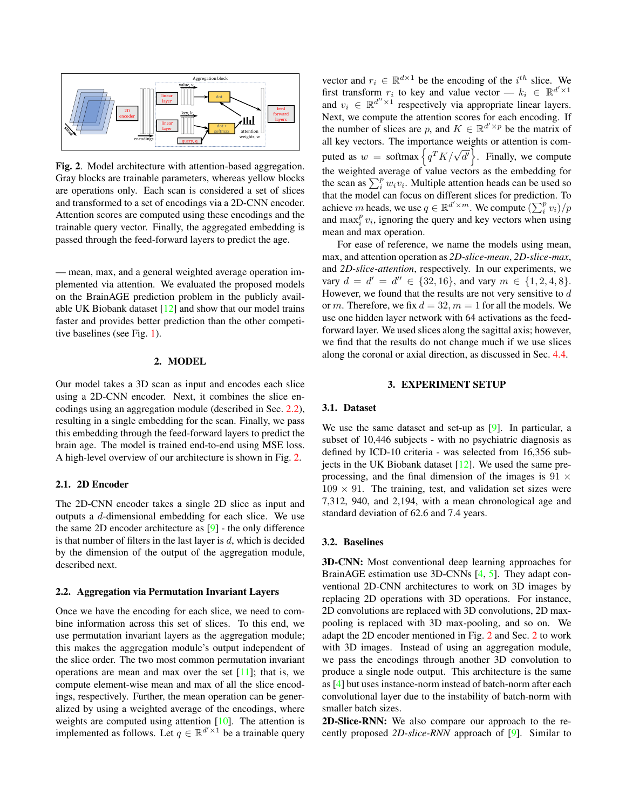

<span id="page-1-1"></span>Fig. 2. Model architecture with attention-based aggregation. Gray blocks are trainable parameters, whereas yellow blocks are operations only. Each scan is considered a set of slices and transformed to a set of encodings via a 2D-CNN encoder. Attention scores are computed using these encodings and the trainable query vector. Finally, the aggregated embedding is passed through the feed-forward layers to predict the age.

— mean, max, and a general weighted average operation implemented via attention. We evaluated the proposed models on the BrainAGE prediction problem in the publicly available UK Biobank dataset  $[12]$  and show that our model trains faster and provides better prediction than the other competitive baselines (see Fig. [1\)](#page-0-0).

### 2. MODEL

<span id="page-1-2"></span>Our model takes a 3D scan as input and encodes each slice using a 2D-CNN encoder. Next, it combines the slice encodings using an aggregation module (described in Sec. [2.2\)](#page-1-0), resulting in a single embedding for the scan. Finally, we pass this embedding through the feed-forward layers to predict the brain age. The model is trained end-to-end using MSE loss. A high-level overview of our architecture is shown in Fig. [2.](#page-1-1)

#### 2.1. 2D Encoder

The 2D-CNN encoder takes a single 2D slice as input and outputs a d-dimensional embedding for each slice. We use the same 2D encoder architecture as [\[9\]](#page-4-8) - the only difference is that number of filters in the last layer is  $d$ , which is decided by the dimension of the output of the aggregation module, described next.

#### <span id="page-1-0"></span>2.2. Aggregation via Permutation Invariant Layers

Once we have the encoding for each slice, we need to combine information across this set of slices. To this end, we use permutation invariant layers as the aggregation module; this makes the aggregation module's output independent of the slice order. The two most common permutation invariant operations are mean and max over the set  $[11]$ ; that is, we compute element-wise mean and max of all the slice encodings, respectively. Further, the mean operation can be generalized by using a weighted average of the encodings, where weights are computed using attention [\[10\]](#page-4-9). The attention is implemented as follows. Let  $q \in \mathbb{R}^{d' \times 1}$  be a trainable query

vector and  $r_i \in \mathbb{R}^{d \times 1}$  be the encoding of the  $i^{th}$  slice. We first transform  $r_i$  to key and value vector —  $k_i \in \mathbb{R}^{d' \times 1}$ and  $v_i \in \mathbb{R}^{d'' \times 1}$  respectively via appropriate linear layers. Next, we compute the attention scores for each encoding. If the number of slices are p, and  $K \in \mathbb{R}^{d' \times p}$  be the matrix of all key vectors. The importance weights or attention is computed as  $w = \text{softmax} \left\{ q^T K / \sqrt{d'} \right\}$ . Finally, we compute the weighted average of value vectors as the embedding for the scan as  $\sum_{i}^{p} w_i v_i$ . Multiple attention heads can be used so that the model can focus on different slices for prediction. To achieve m heads, we use  $q \in \mathbb{R}^{d' \times m}$ . We compute  $\left(\sum_i^p v_i\right)/p$ and  $\max_i^p v_i$ , ignoring the query and key vectors when using mean and max operation.

For ease of reference, we name the models using mean, max, and attention operation as *2D-slice-mean*, *2D-slice-max*, and *2D-slice-attention*, respectively. In our experiments, we vary  $d = d' = d'' \in \{32, 16\}$ , and vary  $m \in \{1, 2, 4, 8\}$ . However, we found that the results are not very sensitive to  $d$ or m. Therefore, we fix  $d = 32$ ,  $m = 1$  for all the models. We use one hidden layer network with 64 activations as the feedforward layer. We used slices along the sagittal axis; however, we find that the results do not change much if we use slices along the coronal or axial direction, as discussed in Sec. [4.4.](#page-3-0)

### 3. EXPERIMENT SETUP

## 3.1. Dataset

We use the same dataset and set-up as [\[9\]](#page-4-8). In particular, a subset of 10,446 subjects - with no psychiatric diagnosis as defined by ICD-10 criteria - was selected from 16,356 subjects in the UK Biobank dataset  $[12]$ . We used the same preprocessing, and the final dimension of the images is  $91 \times$  $109 \times 91$ . The training, test, and validation set sizes were 7,312, 940, and 2,194, with a mean chronological age and standard deviation of 62.6 and 7.4 years.

## 3.2. Baselines

3D-CNN: Most conventional deep learning approaches for BrainAGE estimation use 3D-CNNs [\[4,](#page-4-3) [5\]](#page-4-4). They adapt conventional 2D-CNN architectures to work on 3D images by replacing 2D operations with 3D operations. For instance, 2D convolutions are replaced with 3D convolutions, 2D maxpooling is replaced with 3D max-pooling, and so on. We adapt the 2D encoder mentioned in Fig. [2](#page-1-1) and Sec. [2](#page-1-2) to work with 3D images. Instead of using an aggregation module, we pass the encodings through another 3D convolution to produce a single node output. This architecture is the same as [\[4\]](#page-4-3) but uses instance-norm instead of batch-norm after each convolutional layer due to the instability of batch-norm with smaller batch sizes.

2D-Slice-RNN: We also compare our approach to the recently proposed *2D-slice-RNN* approach of [\[9\]](#page-4-8). Similar to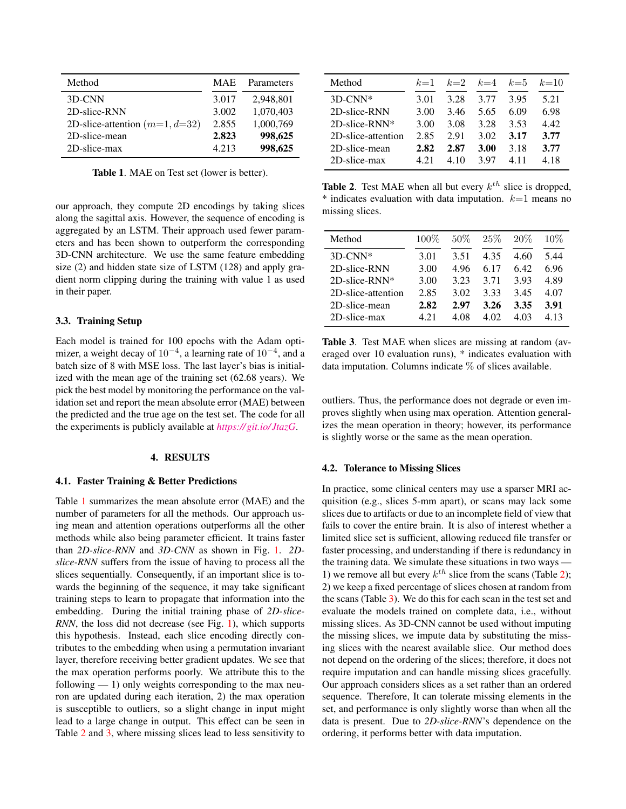| Method                           | <b>MAE</b> | Parameters |
|----------------------------------|------------|------------|
| 3D-CNN                           | 3.017      | 2,948,801  |
| 2D-slice-RNN                     | 3.002      | 1,070,403  |
| 2D-slice-attention $(m=1, d=32)$ | 2.855      | 1,000,769  |
| 2D-slice-mean                    | 2.823      | 998,625    |
| 2D-slice-max                     | 4.213      | 998,625    |

<span id="page-2-1"></span>Table 1. MAE on Test set (lower is better).

our approach, they compute 2D encodings by taking slices along the sagittal axis. However, the sequence of encoding is aggregated by an LSTM. Their approach used fewer parameters and has been shown to outperform the corresponding 3D-CNN architecture. We use the same feature embedding size (2) and hidden state size of LSTM (128) and apply gradient norm clipping during the training with value 1 as used in their paper.

## 3.3. Training Setup

Each model is trained for 100 epochs with the Adam optimizer, a weight decay of  $10^{-4}$ , a learning rate of  $10^{-4}$ , and a batch size of 8 with MSE loss. The last layer's bias is initialized with the mean age of the training set (62.68 years). We pick the best model by monitoring the performance on the validation set and report the mean absolute error (MAE) between the predicted and the true age on the test set. The code for all the experiments is publicly available at *[https:// git.io/JtazG](https://git.io/JtazG)*.

#### 4. RESULTS

### <span id="page-2-0"></span>4.1. Faster Training & Better Predictions

Table [1](#page-2-1) summarizes the mean absolute error (MAE) and the number of parameters for all the methods. Our approach using mean and attention operations outperforms all the other methods while also being parameter efficient. It trains faster than *2D-slice-RNN* and *3D-CNN* as shown in Fig. [1.](#page-0-0) *2Dslice-RNN* suffers from the issue of having to process all the slices sequentially. Consequently, if an important slice is towards the beginning of the sequence, it may take significant training steps to learn to propagate that information into the embedding. During the initial training phase of *2D-slice-RNN*, the loss did not decrease (see Fig. [1\)](#page-0-0), which supports this hypothesis. Instead, each slice encoding directly contributes to the embedding when using a permutation invariant layer, therefore receiving better gradient updates. We see that the max operation performs poorly. We attribute this to the following  $-1$ ) only weights corresponding to the max neuron are updated during each iteration, 2) the max operation is susceptible to outliers, so a slight change in input might lead to a large change in output. This effect can be seen in Table [2](#page-2-2) and [3,](#page-2-3) where missing slices lead to less sensitivity to

| Method                 | $k=1$ | $k=2$ | $k=4$ | $k=5$ | $k=10$ |
|------------------------|-------|-------|-------|-------|--------|
| $3D-CNN*$              | 3.01  | 3.28  | 3.77  | 3.95  | 5.21   |
| 2D-slice-RNN           | 3.00  | 3.46  | 5.65  | 6.09  | 6.98   |
| $2D\text{-slice-RNN*}$ | 3.00  | 3.08  | 3.28  | 3.53  | 4.42   |
| 2D-slice-attention     | 2.85  | 2.91  | 3.02  | 3.17  | 3.77   |
| 2D-slice-mean          | 2.82  | 2.87  | 3.00  | 3.18  | 3.77   |
| 2D-slice-max           | 4.21  | 4 10  | 3 97  | 411   | 4.18   |

<span id="page-2-2"></span>**Table 2.** Test MAE when all but every  $k^{th}$  slice is dropped, \* indicates evaluation with data imputation.  $k=1$  means no missing slices.

| Method                 | 100% | 50%  | 25%  | 20%  | $10\%$ |
|------------------------|------|------|------|------|--------|
| $3D-CNN*$              | 3.01 | 3.51 | 4.35 | 4.60 | 5.44   |
| 2D-slice-RNN           | 3.00 | 4.96 | 6.17 | 6.42 | 6.96   |
| $2D\text{-slice-RNN*}$ | 3.00 | 3.23 | 3.71 | 3.93 | 4.89   |
| 2D-slice-attention     | 2.85 | 3.02 | 3.33 | 3.45 | 4.07   |
| 2D-slice-mean          | 2.82 | 2.97 | 3.26 | 3.35 | 3.91   |
| 2D-slice-max           | 4 21 | 4 OS | 4.02 | 4.03 | 4.13   |

<span id="page-2-3"></span>Table 3. Test MAE when slices are missing at random (averaged over 10 evaluation runs), \* indicates evaluation with data imputation. Columns indicate  $\%$  of slices available.

outliers. Thus, the performance does not degrade or even improves slightly when using max operation. Attention generalizes the mean operation in theory; however, its performance is slightly worse or the same as the mean operation.

#### 4.2. Tolerance to Missing Slices

In practice, some clinical centers may use a sparser MRI acquisition (e.g., slices 5-mm apart), or scans may lack some slices due to artifacts or due to an incomplete field of view that fails to cover the entire brain. It is also of interest whether a limited slice set is sufficient, allowing reduced file transfer or faster processing, and understanding if there is redundancy in the training data. We simulate these situations in two ways — 1) we remove all but every  $k^{th}$  slice from the scans (Table [2\)](#page-2-2); 2) we keep a fixed percentage of slices chosen at random from the scans (Table [3\)](#page-2-3). We do this for each scan in the test set and evaluate the models trained on complete data, i.e., without missing slices. As 3D-CNN cannot be used without imputing the missing slices, we impute data by substituting the missing slices with the nearest available slice. Our method does not depend on the ordering of the slices; therefore, it does not require imputation and can handle missing slices gracefully. Our approach considers slices as a set rather than an ordered sequence. Therefore, It can tolerate missing elements in the set, and performance is only slightly worse than when all the data is present. Due to *2D-slice-RNN*'s dependence on the ordering, it performs better with data imputation.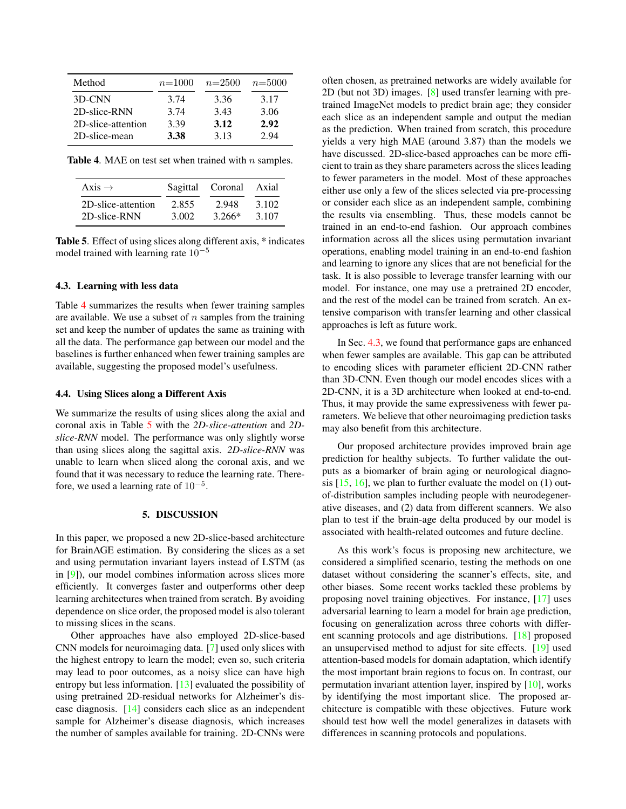| Method             | $n=1000$ | $n=2500$ | $n=5000$ |
|--------------------|----------|----------|----------|
| 3D-CNN             | 3.74     | 3.36     | 3.17     |
| 2D-slice-RNN       | 3.74     | 3.43     | 3.06     |
| 2D-slice-attention | 3.39     | 3.12     | 2.92     |
| 2D-slice-mean      | 3.38     | 3.13     | 2.94     |

**Table 4.** MAE on test set when trained with  $n$  samples.

<span id="page-3-1"></span>

| $Axis \rightarrow$ |       | Sagittal Coronal | Axial |
|--------------------|-------|------------------|-------|
| 2D-slice-attention | 2.855 | 2.948            | 3.102 |
| 2D-slice-RNN       | 3.002 | $3.266*$         | 3.107 |

<span id="page-3-2"></span>Table 5. Effect of using slices along different axis, \* indicates model trained with learning rate  $10^{-5}$ 

## <span id="page-3-3"></span>4.3. Learning with less data

Table [4](#page-3-1) summarizes the results when fewer training samples are available. We use a subset of  $n$  samples from the training set and keep the number of updates the same as training with all the data. The performance gap between our model and the baselines is further enhanced when fewer training samples are available, suggesting the proposed model's usefulness.

## <span id="page-3-0"></span>4.4. Using Slices along a Different Axis

We summarize the results of using slices along the axial and coronal axis in Table [5](#page-3-2) with the *2D-slice-attention* and *2Dslice-RNN* model. The performance was only slightly worse than using slices along the sagittal axis. *2D-slice-RNN* was unable to learn when sliced along the coronal axis, and we found that it was necessary to reduce the learning rate. Therefore, we used a learning rate of  $10^{-5}$ .

### 5. DISCUSSION

In this paper, we proposed a new 2D-slice-based architecture for BrainAGE estimation. By considering the slices as a set and using permutation invariant layers instead of LSTM (as in [\[9\]](#page-4-8)), our model combines information across slices more efficiently. It converges faster and outperforms other deep learning architectures when trained from scratch. By avoiding dependence on slice order, the proposed model is also tolerant to missing slices in the scans.

Other approaches have also employed 2D-slice-based CNN models for neuroimaging data. [\[7\]](#page-4-6) used only slices with the highest entropy to learn the model; even so, such criteria may lead to poor outcomes, as a noisy slice can have high entropy but less information. [\[13\]](#page-4-12) evaluated the possibility of using pretrained 2D-residual networks for Alzheimer's disease diagnosis. [\[14\]](#page-4-13) considers each slice as an independent sample for Alzheimer's disease diagnosis, which increases the number of samples available for training. 2D-CNNs were often chosen, as pretrained networks are widely available for 2D (but not 3D) images. [\[8\]](#page-4-7) used transfer learning with pretrained ImageNet models to predict brain age; they consider each slice as an independent sample and output the median as the prediction. When trained from scratch, this procedure yields a very high MAE (around 3.87) than the models we have discussed. 2D-slice-based approaches can be more efficient to train as they share parameters across the slices leading to fewer parameters in the model. Most of these approaches either use only a few of the slices selected via pre-processing or consider each slice as an independent sample, combining the results via ensembling. Thus, these models cannot be trained in an end-to-end fashion. Our approach combines information across all the slices using permutation invariant operations, enabling model training in an end-to-end fashion and learning to ignore any slices that are not beneficial for the task. It is also possible to leverage transfer learning with our model. For instance, one may use a pretrained 2D encoder, and the rest of the model can be trained from scratch. An extensive comparison with transfer learning and other classical approaches is left as future work.

In Sec. [4.3,](#page-3-3) we found that performance gaps are enhanced when fewer samples are available. This gap can be attributed to encoding slices with parameter efficient 2D-CNN rather than 3D-CNN. Even though our model encodes slices with a 2D-CNN, it is a 3D architecture when looked at end-to-end. Thus, it may provide the same expressiveness with fewer parameters. We believe that other neuroimaging prediction tasks may also benefit from this architecture.

Our proposed architecture provides improved brain age prediction for healthy subjects. To further validate the outputs as a biomarker of brain aging or neurological diagnosis  $[15, 16]$  $[15, 16]$  $[15, 16]$ , we plan to further evaluate the model on  $(1)$  outof-distribution samples including people with neurodegenerative diseases, and (2) data from different scanners. We also plan to test if the brain-age delta produced by our model is associated with health-related outcomes and future decline.

As this work's focus is proposing new architecture, we considered a simplified scenario, testing the methods on one dataset without considering the scanner's effects, site, and other biases. Some recent works tackled these problems by proposing novel training objectives. For instance, [\[17\]](#page-4-16) uses adversarial learning to learn a model for brain age prediction, focusing on generalization across three cohorts with different scanning protocols and age distributions. [\[18\]](#page-4-17) proposed an unsupervised method to adjust for site effects. [\[19\]](#page-4-18) used attention-based models for domain adaptation, which identify the most important brain regions to focus on. In contrast, our permutation invariant attention layer, inspired by [\[10\]](#page-4-9), works by identifying the most important slice. The proposed architecture is compatible with these objectives. Future work should test how well the model generalizes in datasets with differences in scanning protocols and populations.